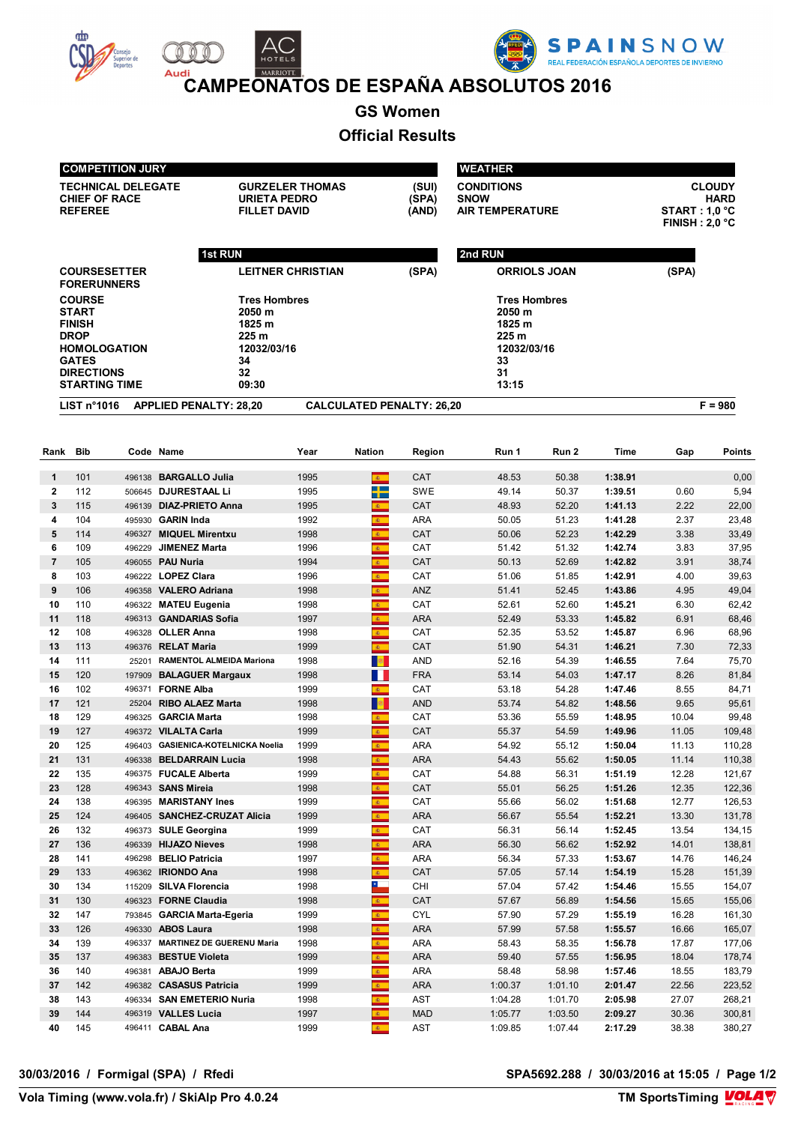





**CAMPEONATOS DE ESPAÑA ABSOLUTOS 2016** 

**GS Women**

## **Official Results**

|              | <b>COMPETITION JURY</b>                                                                                                                           |         |                                                   |                                    |                                                            |                                                                                | <b>WEATHER</b>                                                                       |                |                    |                |                  |  |
|--------------|---------------------------------------------------------------------------------------------------------------------------------------------------|---------|---------------------------------------------------|------------------------------------|------------------------------------------------------------|--------------------------------------------------------------------------------|--------------------------------------------------------------------------------------|----------------|--------------------|----------------|------------------|--|
|              | <b>TECHNICAL DELEGATE</b><br><b>CHIEF OF RACE</b><br><b>URIETA PEDRO</b><br><b>REFEREE</b><br><b>FILLET DAVID</b>                                 |         | <b>GURZELER THOMAS</b><br>(SUI)<br>(SPA)<br>(AND) |                                    | <b>CONDITIONS</b><br><b>SNOW</b><br><b>AIR TEMPERATURE</b> | <b>CLOUDY</b><br><b>HARD</b><br><b>START : 1,0 °C</b><br><b>FINISH: 2,0 °C</b> |                                                                                      |                |                    |                |                  |  |
|              |                                                                                                                                                   |         |                                                   |                                    |                                                            |                                                                                |                                                                                      |                |                    |                |                  |  |
|              |                                                                                                                                                   | 1st RUN |                                                   |                                    |                                                            |                                                                                | 2nd RUN                                                                              |                |                    |                |                  |  |
|              | <b>COURSESETTER</b><br><b>FORERUNNERS</b>                                                                                                         |         |                                                   | <b>LEITNER CHRISTIAN</b>           |                                                            | (SPA)                                                                          | <b>ORRIOLS JOAN</b>                                                                  |                |                    | (SPA)          |                  |  |
|              | <b>COURSE</b><br><b>START</b><br><b>FINISH</b><br><b>DROP</b><br><b>HOMOLOGATION</b><br><b>GATES</b><br><b>DIRECTIONS</b><br><b>STARTING TIME</b> |         | 2050 m<br>1825 m<br>225 m<br>34<br>32<br>09:30    | <b>Tres Hombres</b><br>12032/03/16 |                                                            |                                                                                | <b>Tres Hombres</b><br>2050 m<br>1825 m<br>225 m<br>12032/03/16<br>33<br>31<br>13:15 |                |                    |                |                  |  |
|              | LIST n <sup>°</sup> 1016                                                                                                                          |         | <b>APPLIED PENALTY: 28,20</b>                     |                                    |                                                            | <b>CALCULATED PENALTY: 26,20</b>                                               |                                                                                      |                |                    |                | $F = 980$        |  |
|              |                                                                                                                                                   |         |                                                   |                                    |                                                            |                                                                                |                                                                                      |                |                    |                |                  |  |
| Rank         | Bib                                                                                                                                               |         | Code Name                                         | Year                               | <b>Nation</b>                                              | Region                                                                         | Run 1                                                                                | Run 2          | Time               | Gap            | <b>Points</b>    |  |
| $\mathbf{1}$ | 101                                                                                                                                               |         | 496138 BARGALLO Julia                             | 1995                               | $\mathbf{E}$ .                                             | CAT                                                                            | 48.53                                                                                | 50.38          | 1:38.91            |                | 0,00             |  |
| $\mathbf{2}$ | 112                                                                                                                                               |         | 506645 DJURESTAAL Li                              | 1995                               | ╈                                                          | <b>SWE</b>                                                                     | 49.14                                                                                | 50.37          | 1:39.51            | 0.60           | 5,94             |  |
| 3            | 115                                                                                                                                               |         | 496139 DIAZ-PRIETO Anna                           | 1995                               | 案                                                          | CAT                                                                            | 48.93                                                                                | 52.20          | 1:41.13            | 2.22           | 22,00            |  |
| 4            | 104                                                                                                                                               |         | 495930 GARIN Inda                                 | 1992                               | 图                                                          | <b>ARA</b>                                                                     | 50.05                                                                                | 51.23          | 1:41.28            | 2.37           | 23,48            |  |
| 5            | 114                                                                                                                                               |         | 496327 MIQUEL Mirentxu                            | 1998                               | 61                                                         | CAT                                                                            | 50.06                                                                                | 52.23          | 1:42.29            | 3.38           | 33,49            |  |
| 6            | 109                                                                                                                                               |         | 496229 JIMENEZ Marta                              | 1996                               | æ.                                                         | CAT                                                                            | 51.42                                                                                | 51.32          | 1:42.74            | 3.83           | 37,95            |  |
| 7<br>8       | 105<br>103                                                                                                                                        |         | 496055 PAU Nuria<br>496222 LOPEZ Clara            | 1994<br>1996                       | $\mathbf{A}$                                               | CAT<br>CAT                                                                     | 50.13<br>51.06                                                                       | 52.69<br>51.85 | 1:42.82<br>1:42.91 | 3.91<br>4.00   | 38,74<br>39,63   |  |
| 9            | 106                                                                                                                                               |         | 496358 VALERO Adriana                             | 1998                               | $\mathbf{g}_{\perp}$<br>$\mathbf{c}$                       | ANZ                                                                            | 51.41                                                                                | 52.45          | 1:43.86            | 4.95           | 49,04            |  |
| 10           | 110                                                                                                                                               |         | 496322 MATEU Eugenia                              | 1998                               | k.                                                         | CAT                                                                            | 52.61                                                                                | 52.60          | 1:45.21            | 6.30           | 62,42            |  |
| 11           | 118                                                                                                                                               |         | 496313 GANDARIAS Sofia                            | 1997                               | 家。                                                         | <b>ARA</b>                                                                     | 52.49                                                                                | 53.33          | 1:45.82            | 6.91           | 68,46            |  |
| 12           | 108                                                                                                                                               |         | 496328 OLLER Anna                                 | 1998                               | 图                                                          | CAT                                                                            | 52.35                                                                                | 53.52          | 1:45.87            | 6.96           | 68,96            |  |
| 13           | 113                                                                                                                                               |         | 496376 RELAT Maria                                | 1999                               | $\mathbf{g}$                                               | CAT                                                                            | 51.90                                                                                | 54.31          | 1:46.21            | 7.30           | 72,33            |  |
| 14           | 111                                                                                                                                               | 25201   | <b>RAMENTOL ALMEIDA Mariona</b>                   | 1998                               | <b>B</b>                                                   | <b>AND</b>                                                                     | 52.16                                                                                | 54.39          | 1:46.55            | 7.64           | 75,70            |  |
| 15           | 120                                                                                                                                               | 197909  | <b>BALAGUER Margaux</b>                           | 1998                               | H.                                                         | <b>FRA</b>                                                                     | 53.14                                                                                | 54.03          | 1:47.17            | 8.26           | 81,84            |  |
| 16           | 102                                                                                                                                               | 496371  | <b>FORNE Alba</b>                                 | 1999                               | $\mathbf{g}$ .                                             | CAT                                                                            | 53.18                                                                                | 54.28          | 1:47.46            | 8.55           | 84,71            |  |
| 17           | 121                                                                                                                                               | 25204   | <b>RIBO ALAEZ Marta</b>                           | 1998                               | <b>B</b>                                                   | <b>AND</b>                                                                     | 53.74                                                                                | 54.82          | 1:48.56            | 9.65           | 95,61            |  |
| 18           | 129                                                                                                                                               |         | 496325 GARCIA Marta<br>496372 VILALTA Carla       | 1998<br>1999                       | 案                                                          | CAT<br>CAT                                                                     | 53.36                                                                                | 55.59<br>54.59 | 1:48.95            | 10.04<br>11.05 | 99,48            |  |
| 19<br>20     | 127<br>125                                                                                                                                        |         | 496403 GASIENICA KOTELNICKA Noelia                | 1999                               | <b>B</b><br><b>K</b>                                       | <b>ARA</b>                                                                     | 55.37<br>54.92                                                                       | 55.12          | 1:49.96<br>1:50.04 | 11.13          | 109,48<br>110,28 |  |
| 21           | 131                                                                                                                                               |         | 496338 BELDARRAIN Lucia                           | 1998                               |                                                            | ARA                                                                            | 54.43                                                                                | 55.62          | 1:50.05            | 11.14          | 110,38           |  |
| 22           | 135                                                                                                                                               |         | 496375 FUCALE Alberta                             | 1999                               | 6.                                                         | CAT                                                                            | 54.88                                                                                | 56.31          | 1:51.19            | 12.28          | 121,67           |  |
| 23           | 128                                                                                                                                               |         | 496343 SANS Mireia                                | 1998                               | $\mathbf{E}$ .                                             | CAT                                                                            | 55.01                                                                                | 56.25          | 1:51.26            | 12.35          | 122,36           |  |
| 24           | 138                                                                                                                                               |         | 496395 MARISTANY Ines                             | 1999                               | $\mathbf{a}$                                               | CAT                                                                            | 55.66                                                                                | 56.02          | 1:51.68            | 12.77          | 126,53           |  |
| 25           | 124                                                                                                                                               |         | 496405 SANCHEZ-CRUZAT Alicia                      | 1999                               | $\mathbf{a}$ .                                             | <b>ARA</b>                                                                     | 56.67                                                                                | 55.54          | 1:52.21            | 13.30          | 131,78           |  |
| 26           | 132                                                                                                                                               |         | 496373 SULE Georgina                              | 1999                               | $\overline{\bullet}$                                       | CAT                                                                            | 56.31                                                                                | 56.14          | 1:52.45            | 13.54          | 134,15           |  |
| 27           | 136                                                                                                                                               |         | 496339 HIJAZO Nieves                              | 1998                               | $\Phi_{\rm{eff}}$                                          | <b>ARA</b>                                                                     | 56.30                                                                                | 56.62          | 1:52.92            | 14.01          | 138,81           |  |
| 28           | 141                                                                                                                                               |         | 496298 BELIO Patricia                             | 1997                               | $\mathbf{A}$                                               | ARA                                                                            | 56.34                                                                                | 57.33          | 1:53.67            | 14.76          | 146,24           |  |
| 29<br>30     | 133<br>134                                                                                                                                        |         | 496362 IRIONDO Ana<br>115209 SILVA Florencia      | 1998<br>1998                       | $\mathbf{A}$ .<br>$\overline{\phantom{a}}$                 | CAT<br>CHI                                                                     | 57.05<br>57.04                                                                       | 57.14<br>57.42 | 1:54.19<br>1:54.46 | 15.28<br>15.55 | 151,39<br>154,07 |  |
| 31           | 130                                                                                                                                               |         | 496323 FORNE Claudia                              | 1998                               | $\mathbf{c}$                                               | CAT                                                                            | 57.67                                                                                | 56.89          | 1:54.56            | 15.65          | 155,06           |  |
| 32           | 147                                                                                                                                               |         | 793845 GARCIA Marta-Egeria                        | 1999                               | $\mathcal{R}^{\mathcal{A}}$                                | <b>CYL</b>                                                                     | 57.90                                                                                | 57.29          | 1:55.19            | 16.28          | 161,30           |  |
| 33           | 126                                                                                                                                               |         | 496330 ABOS Laura                                 | 1998                               | $6 -$                                                      | <b>ARA</b>                                                                     | 57.99                                                                                | 57.58          | 1:55.57            | 16.66          | 165,07           |  |
| 34           | 139                                                                                                                                               |         | 496337 MARTINEZ DE GUERENU Maria                  | 1998                               | $\mathbf{g}_{\mathrm{max}}$                                | ARA                                                                            | 58.43                                                                                | 58.35          | 1:56.78            | 17.87          | 177,06           |  |
| 35           | 137                                                                                                                                               |         | 496383 BESTUE Violeta                             | 1999                               | $\mathbf{c}$                                               | ARA                                                                            | 59.40                                                                                | 57.55          | 1:56.95            | 18.04          | 178,74           |  |
| 36           | 140                                                                                                                                               |         | 496381 ABAJO Berta                                | 1999                               | $\overline{a}$                                             | ARA                                                                            | 58.48                                                                                | 58.98          | 1:57.46            | 18.55          | 183,79           |  |
| 37           | 142                                                                                                                                               |         | 496382 CASASUS Patricia                           | 1999                               | $\mathbf{A}$                                               | <b>ARA</b>                                                                     | 1:00.37                                                                              | 1:01.10        | 2:01.47            | 22.56          | 223,52           |  |
| 38           | 143                                                                                                                                               |         | 496334 SAN EMETERIO Nuria                         | 1998                               | $\mathbf{g}_{\mathrm{max}}$                                | AST                                                                            | 1:04.28                                                                              | 1:01.70        | 2:05.98            | 27.07          | 268,21           |  |
| 39           | 144                                                                                                                                               |         | 496319 VALLES Lucia                               | 1997                               | 6.                                                         | <b>MAD</b>                                                                     | 1:05.77                                                                              | 1:03.50        | 2:09.27            | 30.36          | 300,81           |  |
| 40           | 145                                                                                                                                               |         | 496411 CABAL Ana                                  | 1999                               | 案に                                                         | AST                                                                            | 1:09.85                                                                              | 1:07.44        | 2:17.29            | 38.38          | 380,27           |  |

**TM SportsTiming VOLA V**